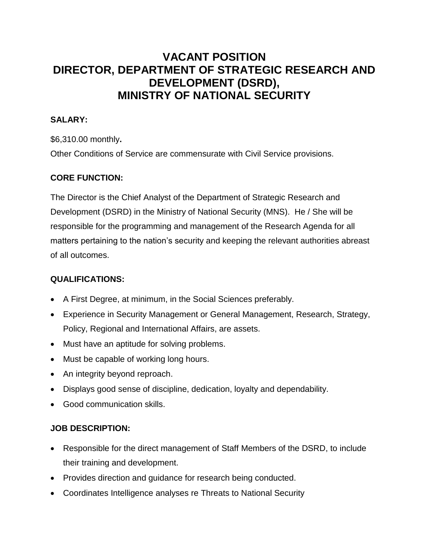# **VACANT POSITION DIRECTOR, DEPARTMENT OF STRATEGIC RESEARCH AND DEVELOPMENT (DSRD), MINISTRY OF NATIONAL SECURITY**

# **SALARY:**

\$6,310.00 monthly**.**  Other Conditions of Service are commensurate with Civil Service provisions.

### **CORE FUNCTION:**

The Director is the Chief Analyst of the Department of Strategic Research and Development (DSRD) in the Ministry of National Security (MNS). He / She will be responsible for the programming and management of the Research Agenda for all matters pertaining to the nation's security and keeping the relevant authorities abreast of all outcomes.

# **QUALIFICATIONS:**

- A First Degree, at minimum, in the Social Sciences preferably.
- Experience in Security Management or General Management, Research, Strategy, Policy, Regional and International Affairs, are assets.
- Must have an aptitude for solving problems.
- Must be capable of working long hours.
- An integrity beyond reproach.
- Displays good sense of discipline, dedication, loyalty and dependability.
- Good communication skills.

#### **JOB DESCRIPTION:**

- Responsible for the direct management of Staff Members of the DSRD, to include their training and development.
- Provides direction and guidance for research being conducted.
- Coordinates Intelligence analyses re Threats to National Security